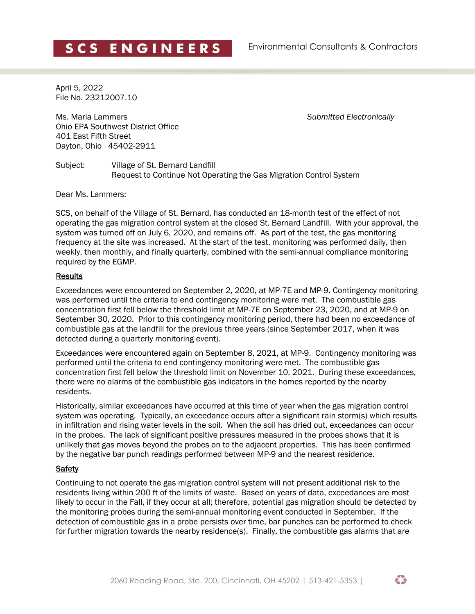April 5, 2022 File No. 23212007.10

Ms. Maria Lammers *Submitted Electronically* Ohio EPA Southwest District Office 401 East Fifth Street Dayton, Ohio 45402-2911

Subject: Village of St. Bernard Landfill Request to Continue Not Operating the Gas Migration Control System

Dear Ms. Lammers:

SCS, on behalf of the Village of St. Bernard, has conducted an 18-month test of the effect of not operating the gas migration control system at the closed St. Bernard Landfill. With your approval, the system was turned off on July 6, 2020, and remains off. As part of the test, the gas monitoring frequency at the site was increased. At the start of the test, monitoring was performed daily, then weekly, then monthly, and finally quarterly, combined with the semi-annual compliance monitoring required by the EGMP.

## Results

Exceedances were encountered on September 2, 2020, at MP-7E and MP-9. Contingency monitoring was performed until the criteria to end contingency monitoring were met. The combustible gas concentration first fell below the threshold limit at MP-7E on September 23, 2020, and at MP-9 on September 30, 2020. Prior to this contingency monitoring period, there had been no exceedance of combustible gas at the landfill for the previous three years (since September 2017, when it was detected during a quarterly monitoring event).

Exceedances were encountered again on September 8, 2021, at MP-9. Contingency monitoring was performed until the criteria to end contingency monitoring were met. The combustible gas concentration first fell below the threshold limit on November 10, 2021. During these exceedances, there were no alarms of the combustible gas indicators in the homes reported by the nearby residents.

Historically, similar exceedances have occurred at this time of year when the gas migration control system was operating. Typically, an exceedance occurs after a significant rain storm(s) which results in infiltration and rising water levels in the soil. When the soil has dried out, exceedances can occur in the probes. The lack of significant positive pressures measured in the probes shows that it is unlikely that gas moves beyond the probes on to the adjacent properties. This has been confirmed by the negative bar punch readings performed between MP-9 and the nearest residence.

## **Safety**

Continuing to not operate the gas migration control system will not present additional risk to the residents living within 200 ft of the limits of waste. Based on years of data, exceedances are most likely to occur in the Fall, if they occur at all; therefore, potential gas migration should be detected by the monitoring probes during the semi-annual monitoring event conducted in September. If the detection of combustible gas in a probe persists over time, bar punches can be performed to check for further migration towards the nearby residence(s). Finally, the combustible gas alarms that are